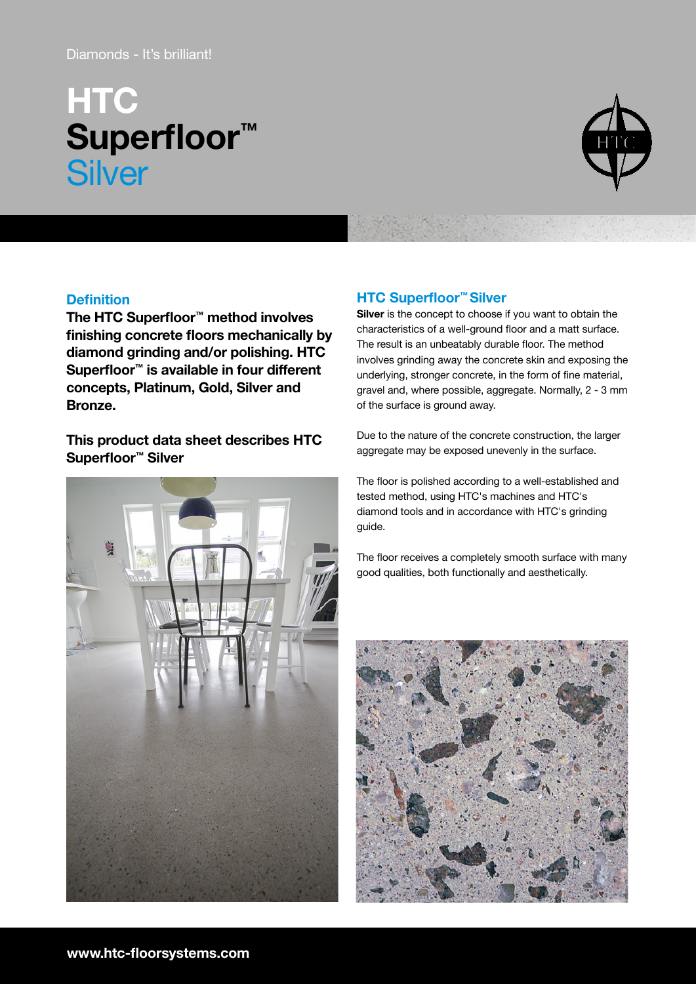# Diamonds - It's brilliant!

# **HTC** Superfloor™ **Silver**



## **Definition**

The HTC Superfloor™ method involves finishing concrete floors mechanically by diamond grinding and/or polishing. HTC Superfloor™ is available in four different concepts, Platinum, Gold, Silver and Bronze.

This product data sheet describes HTC Superfloor™ Silver



# HTC Superfloor™ Silver

Silver is the concept to choose if you want to obtain the characteristics of a well-ground floor and a matt surface. The result is an unbeatably durable floor. The method involves grinding away the concrete skin and exposing the underlying, stronger concrete, in the form of fine material, gravel and, where possible, aggregate. Normally, 2 - 3 mm of the surface is ground away.

Due to the nature of the concrete construction, the larger aggregate may be exposed unevenly in the surface.

The floor is polished according to a well-established and tested method, using HTC's machines and HTC's diamond tools and in accordance with HTC's grinding guide.

The floor receives a completely smooth surface with many good qualities, both functionally and aesthetically.

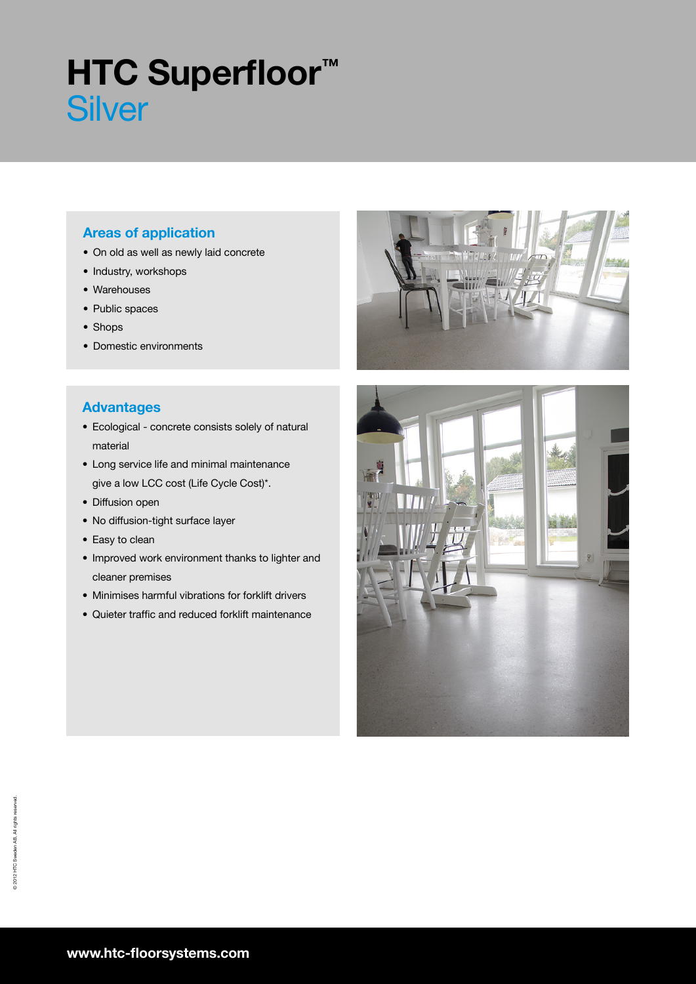# **HTC Superfloor™ Silver**

# Areas of application

- On old as well as newly laid concrete
- Industry, workshops
- Warehouses
- Public spaces
- Shops
- Domestic environments

## Advantages

- Ecological concrete consists solely of natural material
- Long service life and minimal maintenance give a low LCC cost (Life Cycle Cost)\*.
- Diffusion open
- No diffusion-tight surface layer
- Easy to clean
- Improved work environment thanks to lighter and cleaner premises
- Minimises harmful vibrations for forklift drivers
- Quieter traffic and reduced forklift maintenance



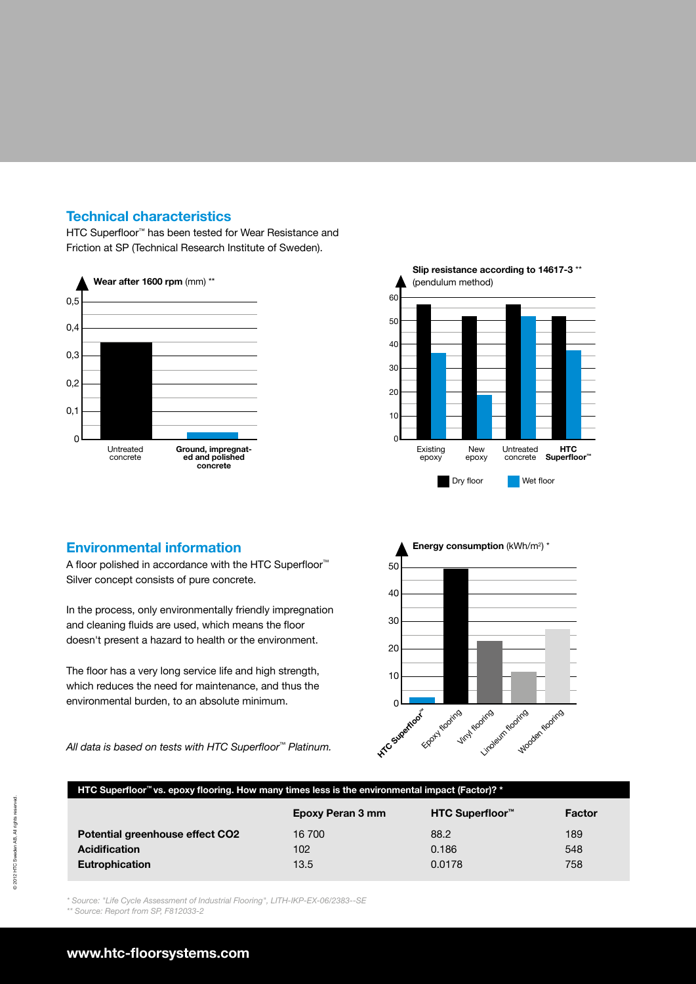## Technical characteristics

HTC Superfloor™ has been tested for Wear Resistance and Friction at SP (Technical Research Institute of Sweden).





### Environmental information

A floor polished in accordance with the HTC Superfloor<sup>™</sup> Silver concept consists of pure concrete.

In the process, only environmentally friendly impregnation and cleaning fluids are used, which means the floor doesn't present a hazard to health or the environment.

The floor has a very long service life and high strength, which reduces the need for maintenance, and thus the environmental burden, to an absolute minimum.

All data is based on tests with HTC Superfloor<sup>™</sup> Platinum.



#### HTC Superfloor™ vs. epoxy flooring. How many times less is the environmental impact (Factor)? \*

|                                 | Epoxy Peran 3 mm | HTC Superfloor <sup>™</sup> | Factor |
|---------------------------------|------------------|-----------------------------|--------|
| Potential greenhouse effect CO2 | 16 700           | 88.2                        | 189    |
| <b>Acidification</b>            | 102              | 0.186                       | 548    |
| <b>Eutrophication</b>           | 13.5             | 0.0178                      | 758    |

\* Source: "Life Cycle Assessment of Industrial Flooring", LITH-IKP-EX-06/2383--SE

\*\* Source: Report from SP, F812033-2